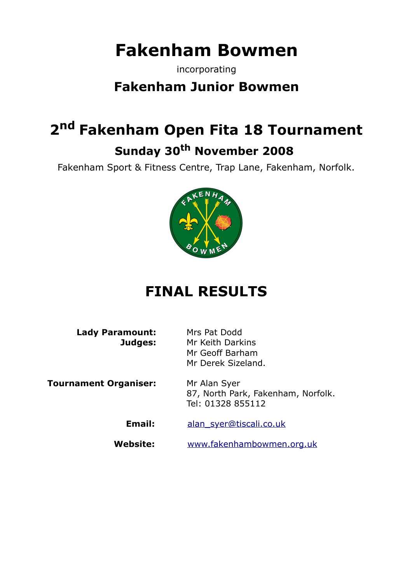# **Fakenham Bowmen**

incorporating

### **Fakenham Junior Bowmen**

## **2 nd Fakenham Open Fita 18 Tournament Sunday 30th November 2008**

Fakenham Sport & Fitness Centre, Trap Lane, Fakenham, Norfolk.



## **FINAL RESULTS**

**Lady Paramount:** Mrs Pat Dodd

**Judges:** Mr Keith Darkins Mr Geoff Barham Mr Derek Sizeland.

**Tournament Organiser:** Mr Alan Syer

87, North Park, Fakenham, Norfolk. Tel: 01328 855112

Email: [alan\\_syer@tiscali.co.uk](mailto:alan_syer@tiscali.co.uk)

**Website:** [www.fakenhambowmen.org.uk](http://www.fakenhambowmen.org.uk/)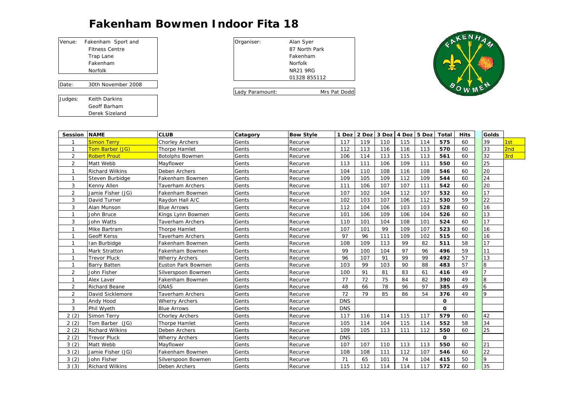### BOOKING-IN FORM **Fakenham Bowmen Indoor Fita 18**

| Venue:  | Fakenham Sport and    | Organiser:      | Alan Syer       |
|---------|-----------------------|-----------------|-----------------|
|         | <b>Fitness Centre</b> |                 | 87 North        |
|         | Trap Lane             |                 | Fakenhan        |
|         | Fakenham              |                 | Norfolk         |
|         | Norfolk               |                 | <b>NR21 9R0</b> |
|         |                       |                 | 0132885         |
| Date:   | 30th November 2008    |                 |                 |
|         |                       | Lady Paramount: |                 |
| Judges: | Keith Darkins         |                 |                 |

Geoff Barham Derek Sizeland

| akenham Sport and  | Organiser:      | Alan Syer       |
|--------------------|-----------------|-----------------|
| Fitness Centre     |                 | 87 North Park   |
| Trap Lane          |                 | Fakenham        |
| Fakenham           |                 | Norfolk         |
| Norfolk            |                 | <b>NR21 9RG</b> |
|                    |                 | 01328 855112    |
| 30th November 2008 |                 |                 |
|                    | Lady Paramount: | Mrs Pat Dodd    |



| Session NAME   |                        | <b>CLUB</b>             | Catagory | <b>Bow Style</b> | 1 Doz      | 2 Doz | 3 Doz | 4 Doz | 5 Doz | <b>Total</b> | <b>Hits</b> | <b>Golds</b>   |     |
|----------------|------------------------|-------------------------|----------|------------------|------------|-------|-------|-------|-------|--------------|-------------|----------------|-----|
|                | <b>Simon Terry</b>     | <b>Chorley Archers</b>  | Gents    | Recurve          | 117        | 119   | 110   | 115   | 114   | 575          | 60          | 39             | 1st |
| $\mathbf{1}$   | Tom Barber (JG)        | Thorpe Hamlet           | Gents    | Recurve          | 112        | 113   | 116   | 116   | 113   | 570          | 60          | 33             | 2nc |
| 2              | <b>Robert Prout</b>    | <b>Botolphs Bowmen</b>  | Gents    | Recurve          | 106        | 114   | 113   | 115   | 113   | 561          | 60          | 32             | 3rd |
| $\overline{2}$ | Matt Webb              | Mayflower               | Gents    | Recurve          | 113        | 111   | 106   | 109   | 111   | 550          | 60          | 25             |     |
| $\mathbf{1}$   | <b>Richard Wilkins</b> | <b>Deben Archers</b>    | Gents    | Recurve          | 104        | 110   | 108   | 116   | 108   | 546          | 60          | 20             |     |
| $\mathbf{1}$   | Steven Burbidge        | Fakenham Bowmen         | Gents    | Recurve          | 109        | 105   | 109   | 112   | 109   | 544          | 60          | 24             |     |
| 3              | Kenny Allen            | Taverham Archers        | Gents    | Recurve          | 111        | 106   | 107   | 107   | 111   | 542          | 60          | 20             |     |
| 2              | Jamie Fisher (JG)      | Fakenham Bowmen         | Gents    | Recurve          | 107        | 102   | 104   | 112   | 107   | 532          | 60          | 17             |     |
| 3              | David Turner           | Raydon Hall A/C         | Gents    | Recurve          | 102        | 103   | 107   | 106   | 112   | 530          | 59          | 22             |     |
| 3              | Alan Munson            | <b>Blue Arrows</b>      | Gents    | Recurve          | 112        | 104   | 106   | 103   | 103   | 528          | 60          | 16             |     |
| $\mathbf{1}$   | John Bruce             | Kings Lynn Bowmen       | Gents    | Recurve          | 101        | 106   | 109   | 106   | 104   | 526          | 60          | 13             |     |
| 3              | John Watts             | <b>Taverham Archers</b> | Gents    | Recurve          | 110        | 101   | 104   | 108   | 101   | 524          | 60          | 17             |     |
| $\mathbf{1}$   | Mike Bartram           | Thorpe Hamlet           | Gents    | Recurve          | 107        | 101   | 99    | 109   | 107   | 523          | 60          | 16             |     |
| $\mathbf{1}$   | <b>Geoff Kerss</b>     | Taverham Archers        | Gents    | Recurve          | 97         | 96    | 111   | 109   | 102   | 515          | 60          | 16             |     |
| $\mathbf{1}$   | Ian Burbidge           | Fakenham Bowmen         | Gents    | Recurve          | 108        | 109   | 113   | 99    | 82    | 511          | 58          | 17             |     |
| $\mathbf{1}$   | <b>Mark Stratton</b>   | Fakenham Bowmen         | Gents    | Recurve          | 99         | 100   | 104   | 97    | 96    | 496          | 59          | 11             |     |
| $\mathbf{1}$   | <b>Trevor Pluck</b>    | <b>Wherry Archers</b>   | Gents    | Recurve          | 96         | 107   | 91    | 99    | 99    | 492          | 57          | 13             |     |
| $\mathbf{1}$   | <b>Barry Batten</b>    | Euston Park Bowmen      | Gents    | Recurve          | 103        | 99    | 103   | 90    | 88    | 483          | 57          | 8              |     |
| 2              | John Fisher            | Silverspoon Bowmen      | Gents    | Recurve          | 100        | 91    | 81    | 83    | 61    | 416          | 49          | $\overline{7}$ |     |
| $\mathbf{1}$   | Alex Laver             | Fakenham Bowmen         | Gents    | Recurve          | 77         | 72    | 75    | 84    | 82    | 390          | 49          | 8              |     |
| 2              | <b>Richard Beane</b>   | <b>GNAS</b>             | Gents    | Recurve          | 48         | 66    | 78    | 96    | 97    | 385          | 49          | 6              |     |
| 2              | David Sicklemore       | Taverham Archers        | Gents    | Recurve          | 72         | 79    | 85    | 86    | 54    | 376          | 49          | $\overline{Q}$ |     |
| 3              | Andy Hood              | <b>Wherry Archers</b>   | Gents    | Recurve          | <b>DNS</b> |       |       |       |       | $\Omega$     |             |                |     |
| 3              | Phil Wyeth             | <b>Blue Arrows</b>      | Gents    | Recurve          | <b>DNS</b> |       |       |       |       | $\Omega$     |             |                |     |
| 2(2)           | Simon Terry            | <b>Chorley Archers</b>  | Gents    | Recurve          | 117        | 116   | 114   | 115   | 117   | 579          | 60          | 42             |     |
| 2(2)           | Tom Barber (JG)        | Thorpe Hamlet           | Gents    | Recurve          | 105        | 114   | 104   | 115   | 114   | 552          | 58          | 34             |     |
| 2(2)           | <b>Richard Wilkins</b> | Deben Archers           | Gents    | Recurve          | 109        | 105   | 113   | 111   | 112   | 550          | 60          | 25             |     |
| 2(2)           | <b>Trevor Pluck</b>    | <b>Wherry Archers</b>   | Gents    | Recurve          | <b>DNS</b> |       |       |       |       | $\Omega$     |             |                |     |
| 3(2)           | Matt Webb              | Mayflower               | Gents    | Recurve          | 107        | 107   | 110   | 113   | 113   | 550          | 60          | 21             |     |
| 3(2)           | Jamie Fisher (JG)      | Fakenham Bowmen         | Gents    | Recurve          | 108        | 108   | 111   | 112   | 107   | 546          | 60          | 22             |     |
| 3(2)           | John Fisher            | Silverspoon Bowmen      | Gents    | Recurve          | 71         | 65    | 101   | 74    | 104   | 415          | 50          | 9              |     |
| 3(3)           | <b>Richard Wilkins</b> | Deben Archers           | Gents    | Recurve          | 115        | 112   | 114   | 114   | 117   | 572          | 60          | 35             |     |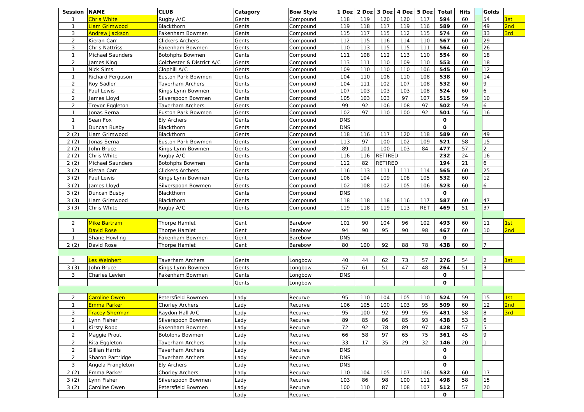| <b>Session NAME</b> |                           | <b>CLUB</b>               | Catagory | <b>Bow Style</b> | 1 Doz      | 2 Doz | 3 Doz          | 4 Doz | 5 Doz      | Total       | <b>Hits</b> | <b>Golds</b>    |     |
|---------------------|---------------------------|---------------------------|----------|------------------|------------|-------|----------------|-------|------------|-------------|-------------|-----------------|-----|
| -1                  | Chris White               | Rugby A/C                 | Gents    | Compound         | 118        | 119   | 120            | 120   | 117        | 594         | 60          | 54              | 1st |
| $\mathbf{1}$        | Liam Grimwood             | Blackthorn                | Gents    | Compound         | 119        | 118   | 117            | 119   | 116        | 589         | 60          | 49              | 2nd |
| 3                   | Andrew Jackson            | Fakenham Bowmen           | Gents    | Compound         | 115        | 117   | 115            | 112   | 115        | 574         | 60          | 33              | 3rd |
| $\overline{2}$      | Kieran Carr               | Clickers Archers          | Gents    | Compound         | 112        | 115   | 116            | 114   | 110        | 567         | 60          | 29              |     |
| 3                   | Chris Nattriss            | Fakenham Bowmen           | Gents    | Compound         | 110        | 113   | 115            | 115   | 111        | 564         | 60          | 26              |     |
| $\mathbf{1}$        | <b>Michael Saunders</b>   | Botohphs Bowmen           | Gents    | Compound         | 111        | 108   | 112            | 113   | 110        | 554         | 60          | 18              |     |
| $\overline{2}$      | James King                | Colchester & District A/C | Gents    | Compound         | 113        | 111   | 110            | 109   | 110        | 553         | 60          | 18              |     |
| $\mathbf{1}$        | Nick Sims                 | Clophill A/C              | Gents    | Compound         | 109        | 110   | 110            | 110   | 106        | 545         | 60          | 12              |     |
| $\mathbf{1}$        | Richard Ferguson          | Euston Park Bowmen        | Gents    | Compound         | 104        | 110   | 106            | 110   | 108        | 538         | 60          | 14              |     |
| $\overline{2}$      | <b>Roy Sadler</b>         | Taverham Archers          | Gents    | Compound         | 104        | 111   | 102            | 107   | 108        | 532         | 60          | 9               |     |
| $\overline{2}$      | Paul Lewis                | Kings Lynn Bowmen         | Gents    | Compound         | 107        | 103   | 103            | 103   | 108        | 524         | 60          | 6               |     |
| 2                   | James Lloyd               | Silverspoon Bowmen        | Gents    | Compound         | 105        | 103   | 103            | 97    | 107        | 515         | 59          | 10              |     |
| $\overline{2}$      | Trevor Eggleton           | <b>Taverham Archers</b>   | Gents    | Compound         | 99         | 92    | 106            | 108   | 97         | 502         | 59          | 6               |     |
| $\mathbf{1}$        | Jonas Serna               | Euston Park Bowmen        | Gents    | Compound         | 102        | 97    | 110            | 100   | 92         | 501         | 56          | 16              |     |
| $\mathbf{1}$        | Sean Fox                  | Ely Archers               | Gents    | Compound         | <b>DNS</b> |       |                |       |            | 0           |             |                 |     |
| $\mathbf{1}$        | Duncan Busby              | Blackthorn                | Gents    | Compound         | <b>DNS</b> |       |                |       |            | O           |             |                 |     |
| 2(2)                | Liam Grimwood             | Blackthorn                | Gents    | Compound         | 118        | 116   | 117            | 120   | 118        | 589         | 60          | 49              |     |
| 2(2)                | Jonas Serna               | Euston Park Bowmen        | Gents    | Compound         | 113        | 97    | 100            | 102   | 109        | 521         | 58          | 15              |     |
| 2(2)                | John Bruce                | Kings Lynn Bowmen         | Gents    | Compound         | 89         | 101   | 100            | 103   | 84         | 477         | 57          | 2               |     |
| 2(2)                | Chris White               | Rugby A/C                 | Gents    | Compound         | 116        | 116   | <b>RETIRED</b> |       |            | 232         | 24          | 16              |     |
| 2(2)                | Michael Saunders          | Botohphs Bowmen           | Gents    | Compound         | 112        | 82    | RETIRED        |       |            | 194         | 21          | 6               |     |
| 3(2)                | Kieran Carr               | Clickers Archers          | Gents    | Compound         | 116        | 113   | 111            | 111   | 114        | 565         | 60          | 25              |     |
| 3(2)                | Paul Lewis                | Kings Lynn Bowmen         | Gents    | Compound         | 106        | 104   | 109            | 108   | 105        | 532         | 60          | 12              |     |
| 3(2)                | James Lloyd               | Silverspoon Bowmen        | Gents    | Compound         | 102        | 108   | 102            | 105   | 106        | 523         | 60          | 6               |     |
| 3(2)                | Duncan Busby              | Blackthorn                | Gents    | Compound         | <b>DNS</b> |       |                |       |            | 0           |             |                 |     |
| 3(3)                | Liam Grimwood             | Blackthorn                | Gents    | Compound         | 118        | 118   | 118            | 116   | 117        | 587         | 60          | 47              |     |
| 3(3)                | Chris White               | Rugby A/C                 | Gents    | Compound         | 119        | 118   | 119            | 113   | <b>RET</b> | 469         | 51          | 37              |     |
|                     |                           |                           |          |                  |            |       |                |       |            |             |             |                 |     |
| 2                   | <mark>Mike Bartram</mark> | Thorpe Hamlet             | Gent     | Barebow          | 101        | 90    | 104            | 96    | 102        | 493         | 60          | 11              | 1st |
| $\mathbf{1}$        | David Rose                | Thorpe Hamlet             | Gent     | Barebow          | 94         | 90    | 95             | 90    | 98         | 467         | 60          | 10              | 2nd |
| $\mathbf{1}$        | Shane Howling             | Fakenham Bowmen           | Gent     | Barebow          | <b>DNS</b> |       |                |       |            | 0           |             |                 |     |
| 2(2)                | David Rose                | Thorpe Hamlet             | Gent     | Barebow          | 80         | 100   | 92             | 88    | 78         | 438         | 60          | $\overline{7}$  |     |
|                     |                           |                           |          |                  |            |       |                |       |            |             |             |                 |     |
| 3                   | es Weinhert               | Taverham Archers          | Gents    | Longbow          | 40         | 44    | 62             | 73    | 57         | 276         | 54          | $\overline{2}$  | 1st |
| 3(3)                | John Bruce                | Kings Lynn Bowmen         | Gents    | _ongbow          | 57         | 61    | 51             | 47    | 48         | 264         | 51          | 3               |     |
| 3                   | Charles Levien            | Fakenham Bowmen           | Gents    |                  | <b>DNS</b> |       |                |       |            | 0           |             |                 |     |
|                     |                           |                           | Gents    | Longbow          |            |       |                |       |            | O           |             |                 |     |
|                     |                           |                           |          | Longbow          |            |       |                |       |            |             |             |                 |     |
| 2                   | Caroline Owen             |                           |          |                  |            |       |                |       |            |             | 59          | 15              |     |
|                     |                           | Petersfield Bowmen        | Lady     | Recurve          | 95         | 110   | 104            | 105   | 110        | 524         |             |                 | 1st |
| $\mathbf{1}$<br>3   | E <mark>mma Parker</mark> | Chorley Archers           | _ady     | Recurve          | 106        | 105   | 100            | 103   | 95         | 509         | 60          | 12              | 2nd |
|                     | <u> Fracey Sherman</u>    | Raydon Hall A/C           | Lady     | Recurve          | 95         | 100   | 92             | 99    | 95         | 481         | 58          | 8               | 3rd |
| 2                   | Lynn Fisher               | Silverspoon Bowmen        | Lady     | Recurve          | 89         | 85    | 86             | 85    | 93         | 438         | 53          | $\vert 6 \vert$ |     |
| $\mathbf{1}$        | Kirsty Robb               | Fakenham Bowmen           | Lady     | Recurve          | 72         | 92    | 78             | 89    | 97         | 428         | 57          | 5               |     |
| $\overline{2}$      | Maggie Prout              | Botolphs Bowmen           | Lady     | Recurve          | 66         | 58    | 97             | 65    | 75         | 361         | 45          | 9               |     |
| $\overline{2}$      | Rita Eggleton             | Taverham Archers          | Lady     | Recurve          | 33         | 17    | 35             | 29    | 32         | 146         | 20          |                 |     |
| $\overline{2}$      | Gillian Harris            | Taverham Archers          | Lady     | Recurve          | <b>DNS</b> |       |                |       |            | $\mathbf 0$ |             |                 |     |
| $\overline{2}$      | Sharon Partridge          | Taverham Archers          | Lady     | Recurve          | <b>DNS</b> |       |                |       |            | 0           |             |                 |     |
| 3                   | Angela Frangleton         | Ely Archers               | Lady     | Recurve          | <b>DNS</b> |       |                |       |            | $\mathbf 0$ |             |                 |     |
| 2(2)                | Emma Parker               | Chorley Archers           | Lady     | Recurve          | 110        | 104   | 105            | 107   | 106        | 532         | 60          | 17              |     |
| 3(2)                | Lynn Fisher               | Silverspoon Bowmen        | Lady     | Recurve          | 103        | 86    | 98             | 100   | 111        | 498         | 58          | 15              |     |
| 3(2)                | Caroline Owen             | Petersfield Bowmen        | Lady     | Recurve          | 100        | 110   | 87             | 108   | 107        | 512         | 57          | 20              |     |
|                     |                           |                           | Lady     | Recurve          |            |       |                |       |            | 0           |             |                 |     |
|                     |                           |                           |          |                  |            |       |                |       |            |             |             |                 |     |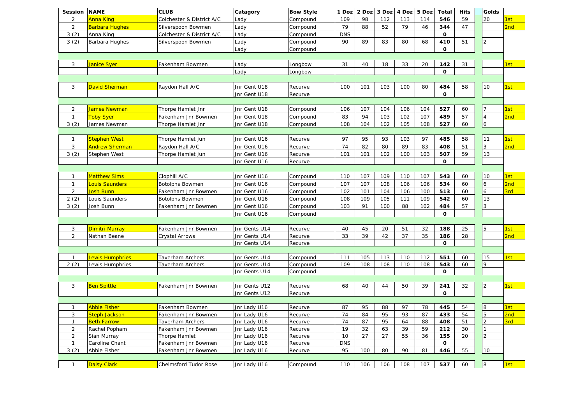| Session                   | <b>NAME</b>                 | <b>CLUB</b>                  | Catagory      | <b>Bow Style</b> | 1 Doz      | 2 Doz | 3 Doz | 4 Doz 5 Doz |     | <b>Total</b> | <b>Hits</b> | Golds          |                        |
|---------------------------|-----------------------------|------------------------------|---------------|------------------|------------|-------|-------|-------------|-----|--------------|-------------|----------------|------------------------|
| 2                         | Anna King                   | Colchester & District A/C    | Lady          | Compound         | 109        | 98    | 112   | 113         | 114 | 546          | 59          | 20             | 1st                    |
| $\overline{2}$            | Barbara Hughes              | Silverspoon Bowmen           | Lady          | Compound         | 79         | 88    | 52    | 79          | 46  | 344          | 47          |                | 2nd                    |
| 3(2)                      | Anna King                   | Colchester & District A/C    | Lady          | Compound         | <b>DNS</b> |       |       |             |     | O            |             |                |                        |
| 3(2)                      | Barbara Hughes              | Silverspoon Bowmen           | Lady          | Compound         | 90         | 89    | 83    | 80          | 68  | 410          | 51          | $\mathcal{P}$  |                        |
|                           |                             |                              | Lady          | Compound         |            |       |       |             |     | $\mathbf{o}$ |             |                |                        |
|                           |                             |                              |               |                  |            |       |       |             |     |              |             |                |                        |
| 3                         | <u>Janice Syer</u>          | Fakenham Bowmen              | Lady          | Longbow          | 31         | 40    | 18    | 33          | 20  | 142          | 31          |                | 1st                    |
|                           |                             |                              | Lady          | Longbow          |            |       |       |             |     | $\mathbf{o}$ |             |                |                        |
|                           |                             |                              |               |                  |            |       |       |             |     |              |             |                |                        |
| 3                         | David Sherman               | Raydon Hall A/C              | Jnr Gent U18  | Recurve          | 100        | 101   | 103   | 100         | 80  | 484          | 58          | 10             | 1st                    |
|                           |                             |                              | Jnr Gent U18  | Recurve          |            |       |       |             |     | O            |             |                |                        |
|                           |                             |                              |               |                  |            |       |       |             |     |              |             |                |                        |
| $\overline{2}$            | James Newman                | Thorpe Hamlet Jnr            | Jnr Gent U18  | Compound         | 106        | 107   | 104   | 106         | 104 | 527          | 60          |                | Ist                    |
| $\mathbf{1}$              | <b>Toby Syer</b>            | Fakenham Jnr Bowmen          | Jnr Gent U18  | Compound         | 83         | 94    | 103   | 102         | 107 | 489          | 57          | 4              | 2nd                    |
| 3(2)                      |                             |                              |               |                  |            |       |       |             |     |              |             |                |                        |
|                           | James Newman                | Thorpe Hamlet Jnr            | Jnr Gent U18  | Compound         | 108        | 104   | 102   | 105         | 108 | 527          | 60          | $\overline{6}$ |                        |
| $\mathbf{1}$              | Stephen West                |                              |               |                  | 97         | 95    | 93    |             | 97  | 485          | 58          | 11             |                        |
|                           |                             | Thorpe Hamlet jun            | Jnr Gent U16  | Recurve          |            |       |       | 103         |     |              |             | 3              | 1st<br>2 <sub>nd</sub> |
| $\ensuremath{\mathsf{3}}$ | Andrew Sherman              | Raydon Hall A/C              | Jnr Gent U16  | Recurve          | 74         | 82    | 80    | 89          | 83  | 408          | 51          |                |                        |
| 3(2)                      | Stephen West                | Thorpe Hamlet jun            | Jnr Gent U16  | Recurve          | 101        | 101   | 102   | 100         | 103 | 507          | 59          | 13             |                        |
|                           |                             |                              | Jnr Gent U16  | Recurve          |            |       |       |             |     | O            |             |                |                        |
|                           |                             |                              |               |                  |            |       |       |             |     |              |             |                |                        |
| $\mathbf{1}$              | Matthew Sims                | Clophill A/C                 | Jnr Gent U16  | Compound         | 110        | 107   | 109   | 110         | 107 | 543          | 60          | 10             | 1st                    |
| $\mathbf{1}$              | ouis Saunders               | Botolphs Bowmen              | Jnr Gent U16  | Compound         | 107        | 107   | 108   | 106         | 106 | 534          | 60          | 6              | 2nd                    |
| 2                         | losh Bunn                   | Fakenham Jnr Bowmen          | Jnr Gent U16  | Compound         | 102        | 101   | 104   | 106         | 100 | 513          | 60          | 6              | 3rd                    |
| 2(2)                      | Louis Saunders              | Botolphs Bowmen              | Jnr Gent U16  | Compound         | 108        | 109   | 105   | 111         | 109 | 542          | 60          | 13             |                        |
| 3(2)                      | losh Bunn                   | Fakenham Jnr Bowmen          | Jnr Gent U16  | Compound         | 103        | 91    | 100   | 88          | 102 | 484          | 57          | 3              |                        |
|                           |                             |                              | Jnr Gent U16  | Compound         |            |       |       |             |     | O            |             |                |                        |
|                           |                             |                              |               |                  |            |       |       |             |     |              |             |                |                        |
| 3                         | <mark>Dimitri Murray</mark> | Fakenham Jnr Bowmen          | Jnr Gents U14 | Recurve          | 40         | 45    | 20    | 51          | 32  | 188          | 25          | 5              | 1st                    |
| $\overline{2}$            | Nathan Beane                | Crystal Arrows               | Jnr Gents U14 | Recurve          | 33         | 39    | 42    | 37          | 35  | 186          | 28          |                | 2nd                    |
|                           |                             |                              | Jnr Gents U14 | Recurve          |            |       |       |             |     | $\mathbf 0$  |             |                |                        |
|                           |                             |                              |               |                  |            |       |       |             |     |              |             |                |                        |
| $\mathbf{1}$              | ewis Humphries              | Taverham Archers             | Jnr Gents U14 | Compound         | 111        | 105   | 113   | 110         | 112 | 551          | 60          | 15             | 1st                    |
| 2(2)                      | Lewis Humphries             | Taverham Archers             | Jnr Gents U14 | Compound         | 109        | 108   | 108   | 110         | 108 | 543          | 60          | 9              |                        |
|                           |                             |                              | Jnr Gents U14 | Compound         |            |       |       |             |     | O            |             |                |                        |
|                           |                             |                              |               |                  |            |       |       |             |     |              |             |                |                        |
| 3                         | <mark>Ben Spittle</mark>    | Fakenham Jnr Bowmen          | Jnr Gents U12 | Recurve          | 68         | 40    | 44    | 50          | 39  | 241          | 32          | $\overline{2}$ | 1st                    |
|                           |                             |                              | Jnr Gents U12 | Recurve          |            |       |       |             |     | $\mathbf{o}$ |             |                |                        |
|                           |                             |                              |               |                  |            |       |       |             |     |              |             |                |                        |
| $\mathbf{1}$              | Abbie Fisher                | Fakenham Bowmen              | Jnr Lady U16  | Recurve          | 87         | 95    | 88    | 97          | 78  | 445          | 54          | 8              | 1st                    |
| 3                         | Steph Jackson               | Fakenham Jnr Bowmen          | Jnr Lady U16  | Recurve          | 74         | 84    | 95    | 93          | 87  | 433          | 54          | 5              | 2 <sub>nd</sub>        |
| $\mathbf{1}$              | <b>Beth Farrow</b>          | Taverham Archers             | Jnr Lady U16  | Recurve          | 74         | 87    | 95    | 64          | 88  | 408          | 51          | $\overline{2}$ | 3rd                    |
| $\overline{2}$            | Rachel Popham               | Fakenham Jnr Bowmen          | Jnr Lady U16  | Recurve          | 19         | 32    | 63    | 39          | 59  | 212          | 30          |                |                        |
| 2                         | Sian Murray                 | Thorpe Hamlet                | Jnr Lady U16  | Recurve          | 10         | 27    | 27    | 55          | 36  | 155          | 20          |                |                        |
| $\mathbf{1}$              | Caroline Chant              | Fakenham Jnr Bowmen          | Jnr Lady U16  | Recurve          | <b>DNS</b> |       |       |             |     | 0            |             |                |                        |
| 3(2)                      | Abbie Fisher                | Fakenham Jnr Bowmen          | Jnr Lady U16  | Recurve          | 95         | 100   | 80    | 90          | 81  | 446          | 55          | 10             |                        |
|                           |                             |                              |               |                  |            |       |       |             |     |              |             |                |                        |
| $\mathbf{1}$              | <b>Daisy Clark</b>          | <b>Chelmsford Tudor Rose</b> | Jnr Lady U16  | Compound         | 110        | 106   | 106   | 108         | 107 | 537          | 60          | 8              | 1st                    |